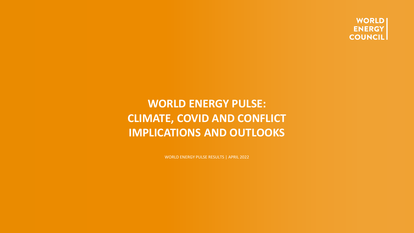**WORLD ENERGY COUNCIL** 

### **WORLD ENERGY PULSE: CLIMATE, COVID AND CONFLICT IMPLICATIONS AND OUTLOOKS**

WORLD ENERGY PULSE RESULTS | APRIL 2022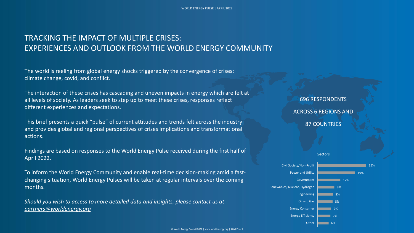#### TRACKING THE IMPACT OF MULTIPLE CRISES: EXPERIENCES AND OUTLOOK FROM THE WORLD ENERGY COMMUNITY

The world is reeling from global energy shocks triggered by the convergence of crises: climate change, covid, and conflict.

The interaction of these crises has cascading and uneven impacts in energy which are felt at all levels of society. As leaders seek to step up to meet these crises, responses reflect different experiences and expectations.

This brief presents a quick "pulse" of current attitudes and trends felt across the industry and provides global and regional perspectives of crises implications and transformational actions.

Findings are based on responses to the World Energy Pulse received during the first half of April 2022.

To inform the World Energy Community and enable real-time decision-making amid a fastchanging situation, World Energy Pulses will be taken at regular intervals over the coming months.

*Should you wish to access to more detailed data and insights, please contact us at [partners@worldenergy.org](mailto:partners@worldenergy.org)*

696 RESPONDENTS ACROSS 6 REGIONS AND 87 COUNTRIES



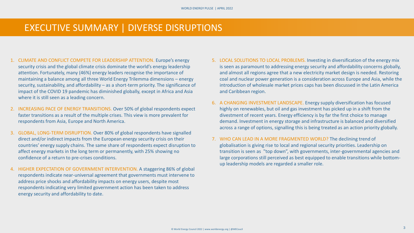#### EXECUTIVE SUMMARY | DIVERSE DISRUPTIONS

- 1. CLIMATE AND CONFLICT COMPETE FOR LEADERSHIP ATTENTION. Europe's energy security crisis and the global climate crisis dominate the world's energy leadership attention. Fortunately, many (46%) energy leaders recognise the importance of maintaining a balance among all three World Energy Trilemma dimensions – energy security, sustainability, and affordability – as a short-term priority. The significance of impact of the COVID 19 pandemic has diminished globally, except in Africa and Asia where it is still seen as a leading concern.
- 2. INCREASING PACE OF ENERGY TRANSITIONS. Over 50% of global respondents expect faster transitions as a result of the multiple crises. This view is more prevalent for respondents from Asia, Europe and North America.
- 3. GLOBAL, LONG-TERM DISRUPTION. Over 80% of global respondents have signalled direct and/or indirect impacts from the European energy security crisis on their countries' energy supply chains. The same share of respondents expect disruption to affect energy markets in the long term or permanently, with 25% showing no confidence of a return to pre-crises conditions.
- 4. HIGHER EXPECTATION OF GOVERNMENT INTERVENTION. A staggering 86% of global respondents indicate near-universal agreement that governments must intervene to address price shocks and affordability impacts on energy users, despite most respondents indicating very limited government action has been taken to address energy security and affordability to date.
- 5. LOCAL SOLUTIONS TO LOCAL PROBLEMS. Investing in diversification of the energy mix is seen as paramount to addressing energy security and affordability concerns globally, and almost all regions agree that a new electricity market design is needed. Restoring coal and nuclear power generation is a consideration across Europe and Asia, while the introduction of wholesale market prices caps has been discussed in the Latin America and Caribbean region.
- 6. A CHANGING INVESTMENT LANDSCAPE. Energy supply diversification has focused highly on renewables, but oil and gas investment has picked up in a shift from the divestment of recent years. Energy efficiency is by far the first choice to manage demand. Investment in energy storage and infrastructure is balanced and diversified across a range of options, signalling this is being treated as an action priority globally.
- 7. WHO CAN LEAD IN A MORE FRAGMENTED WORLD? The declining trend of globalisation is giving rise to local and regional security priorities. Leadership on transition is seen as "top down", with governments, inter-governmental agencies and large corporations still perceived as best equipped to enable transitions while bottomup leadership models are regarded a smaller role.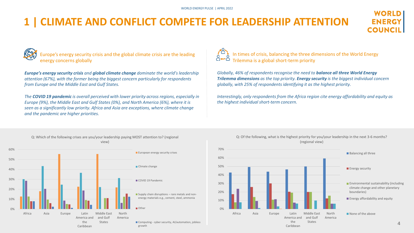# **1 | CLIMATE AND CONFLICT COMPETE FOR LEADERSHIP ATTENTION**



Europe's energy security crisis and the global climate crisis are the leading energy concerns globally

*Europe's energy security crisis and global climate change dominate the world's leadership attention (67%), with the former being the biggest concern particularly for respondents from Europe and the Middle East and Gulf States.*

*The COVID 19 pandemic is overall perceived with lower priority across regions, especially in Europe (9%), the Middle East and Gulf States (0%), and North America (6%), where it is seen as a significantly low priority. Africa and Asia are exceptions, where climate change and the pandemic are higher priorities.*



In times of crisis, balancing the three dimensions of the World Energy Trilemma is a global short-term priority

*Globally, 46% of respondents recognise the need to balance all three World Energy Trilemma dimensions as the top priority. Energy security is the biggest individual concern globally, with 25% of respondents identifying it as the highest priority.*

*Interestingly, only respondents from the Africa region cite energy affordability and equity as the highest individual short-term concern.*





#### Q: Of the following, what is the highest priority for you/your leadership in the next 3-6 months? (regional view)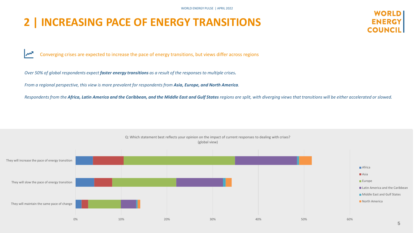WORLD ENERGY PULSE | APRIL 2022

#### **2 | INCREASING PACE OF ENERGY TRANSITIONS**



W Converging crises are expected to increase the pace of energy transitions, but views differ across regions

*Over 50% of global respondents expect faster energy transitions as a result of the responses to multiple crises.*

*From a regional perspective, this view is more prevalent for respondents from Asia, Europe, and North America.*

Respondents from the *Africa, Latin America and the Caribbean, and the Middle East and Gulf States regions are split, with diverging views that transitions will be either accelerated or slowed.* 

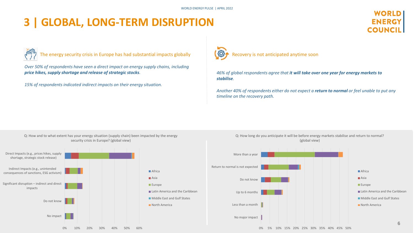### **3 | GLOBAL, LONG-TERM DISRUPTION**



The energy security crisis in Europe has had substantial impacts globally

*Over 50% of respondents have seen a direct impact on energy supply chains, including price hikes, supply shortage and release of strategic stocks.*

*15% of respondents indicated indirect impacts on their energy situation.*



*46% of global respondents agree that it will take over one year for energy markets to stabilise.* 

*Another 40% of respondents either do not expect a return to normal or feel unable to put any timeline on the recovery path.*



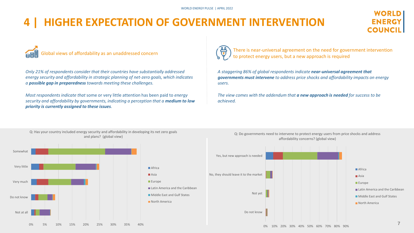## **HIGHER EXPECTATION OF GOVERNMENT INTERVENTION**



Global views of affordability as an unaddressed concern

*Only 21% of respondents consider that their countries have substantially addressed energy security and affordability in strategic planning of net-zero goals, which indicates a possible gap in preparedness towards meeting these challenges.*

*Most respondents indicate that* some or very little attention has been paid to *energy security and affordability by governments, indicating a perception that a medium to low priority is currently assigned to these issues.*

and plans? (global view)



There is near-universal agreement on the need for government intervention to protect energy users, but a new approach is required

*A staggering 86% of global respondents indicate near-universal agreement that governments must intervene to address price shocks and affordability impacts on energy users.* 

*The view comes with the addendum that a new approach is needed for success to be achieved.*



Q: Do governments need to intervene to protect energy users from price shocks and address affordability concerns? (global view) Q: Has your country included energy security and affordability in developing its net zero goals

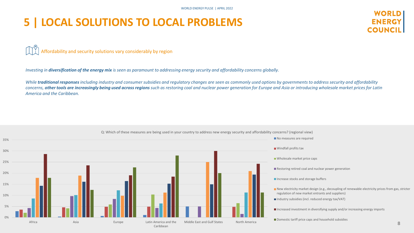### **5 | LOCAL SOLUTIONS TO LOCAL PROBLEMS**



Affordability and security solutions vary considerably by region

*Investing in diversification of the energy mix is seen as paramount to addressing energy security and affordability concerns globally.* 

*While traditional responses including industry and consumer subsidies and regulatory changes are seen as commonly used options by governments to address security and affordability concerns, other tools are increasingly being used across regions such as restoring coal and nuclear power generation for Europe and Asia or introducing wholesale market prices for Latin America and the Caribbean.*



Q: Which of these measures are being used in your country to address new energy security and affordability concerns? (regional view)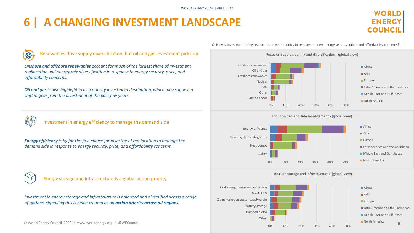## **6 | A CHANGING INVESTMENT LANDSCAPE**



(3)

Renewables drive supply diversification, but oil and gas investment picks up

*Onshore and offshore renewables account for much of the largest share of investment reallocation and energy mix diversification in response to energy security, price, and affordability concerns.*

*Oil and gas is also highlighted as a priority investment destination, which may suggest a shift in gear from the divestment of the past few years.*



Investment in energy efficiency to manage the demand side

*Energy efficiency is by far the first choice for investment reallocation to manage the demand side in response to energy security, price, and affordability concerns.*



Energy storage and infrastructure is a global action priority

*Investment in energy storage and infrastructure is balanced and diversified across a range of options, signalling this is being treated as an action priority across all regions.*

Q: How is investment being reallocated in your country in response to new energy security, price, and affordability concerns?









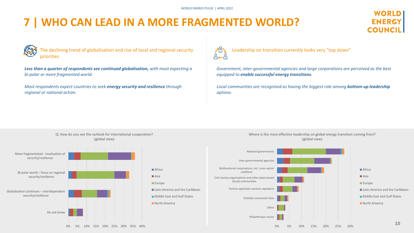## **7 | WHO CAN LEAD IN A MORE FRAGMENTED WORLD?**

#### WORI D **ENERGY COUNCI**



The declining trend of globalisation and rise of local and regional security priorities

*Less than a quarter of respondents see continued globalisation, with most expecting a bi-polar or more fragmented world.*

*Most respondents expect countries to seek energy security and resilience through regional or national action.*



*Government, inter-governmental agencies and large corporations are perceived as the best equipped to enable successful energy transitions.*

*Local communities are recognised as having the biggest role among bottom-up leadership options.*

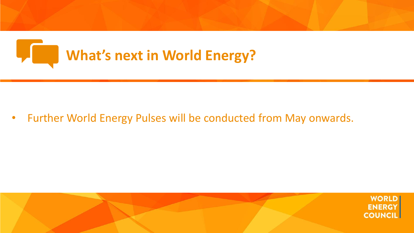

• Further World Energy Pulses will be conducted from May onwards.

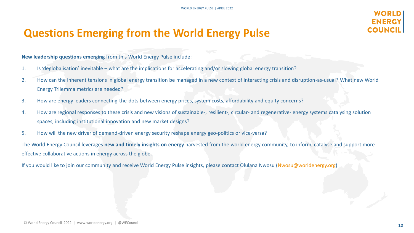#### **ENERG** COUNC

#### **Questions Emerging from the World Energy Pulse**

**New leadership questions emerging** from this World Energy Pulse include:

- 1. Is 'deglobalisation' inevitable what are the implications for accelerating and/or slowing global energy transition?
- 2. How can the inherent tensions in global energy transition be managed in a new context of interacting crisis and disruption-as-usual? What new World Energy Trilemma metrics are needed?
- 3. How are energy leaders connecting-the-dots between energy prices, system costs, affordability and equity concerns?
- 4. How are regional responses to these crisis and new visions of sustainable-, resilient-, circular- and regenerative- energy systems catalysing solution spaces, including institutional innovation and new market designs?
- 5. How will the new driver of demand-driven energy security reshape energy geo-politics or vice-versa?

The World Energy Council leverages **new and timely insights on energy** harvested from the world energy community, to inform, catalyse and support more effective collaborative actions in energy across the globe.

If you would like to join our community and receive World Energy Pulse insights, please contact Olulana Nwosu ([Nwosu@worldenergy.org](mailto:Nwosu@worldenergy.org))